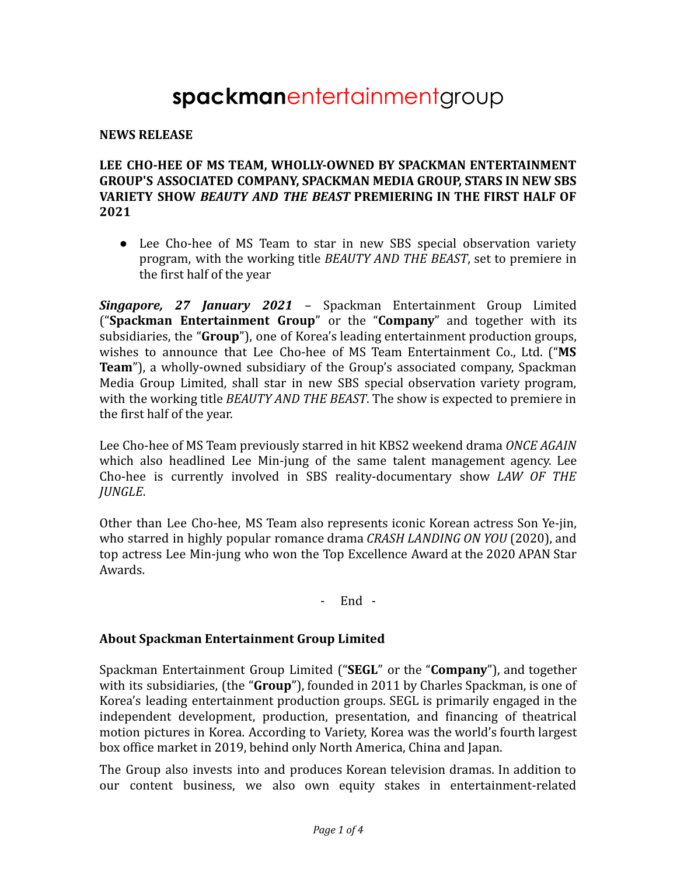# **spackman**entertainmentgroup

#### **NEWS RELEASE**

### **LEE CHO-HEE OF MS TEAM, WHOLLY-OWNED BY SPACKMAN ENTERTAINMENT GROUP'S ASSOCIATED COMPANY, SPACKMAN MEDIA GROUP, STARS IN NEW SBS VARIETY SHOW** *BEAUTY AND THE BEAST* **PREMIERING IN THE FIRST HALF OF 2021**

• Lee Cho-hee of MS Team to star in new SBS special observation variety program, with the working title *BEAUTY AND THE BEAST*, set to premiere in the first half of the year

*Singapore, 27 January 2021* – Spackman Entertainment Group Limited ("**Spackman Entertainment Group**" or the "**Company**" and together with its subsidiaries, the "**Group**"), one of Korea's leading entertainment production groups, wishes to announce that Lee Cho-hee of MS Team Entertainment Co., Ltd. ("**MS Team**"), a wholly-owned subsidiary of the Group's associated company, Spackman Media Group Limited, shall star in new SBS special observation variety program, with the working title *BEAUTY AND THE BEAST*. The show is expected to premiere in the first half of the year.

Lee Cho-hee of MS Team previously starred in hit KBS2 weekend drama *ONCE AGAIN* which also headlined Lee Min-jung of the same talent management agency. Lee Cho-hee is currently involved in SBS reality-documentary show *LAW OF THE JUNGLE*.

Other than Lee Cho-hee, MS Team also represents iconic Korean actress Son Ye-jin, who starred in highly popular romance drama *CRASH LANDING ON YOU* (2020), and top actress Lee Min-jung who won the Top Excellence Award at the 2020 APAN Star Awards.

#### - End -

#### **About Spackman Entertainment Group Limited**

Spackman Entertainment Group Limited ("**SEGL**" or the "**Company**"), and together with its subsidiaries, (the "**Group**"), founded in 2011 by Charles Spackman, is one of Korea's leading entertainment production groups. SEGL is primarily engaged in the independent development, production, presentation, and financing of theatrical motion pictures in Korea. According to Variety, Korea was the world's fourth largest box office market in 2019, behind only North America, China and Japan.

The Group also invests into and produces Korean television dramas. In addition to our content business, we also own equity stakes in entertainment-related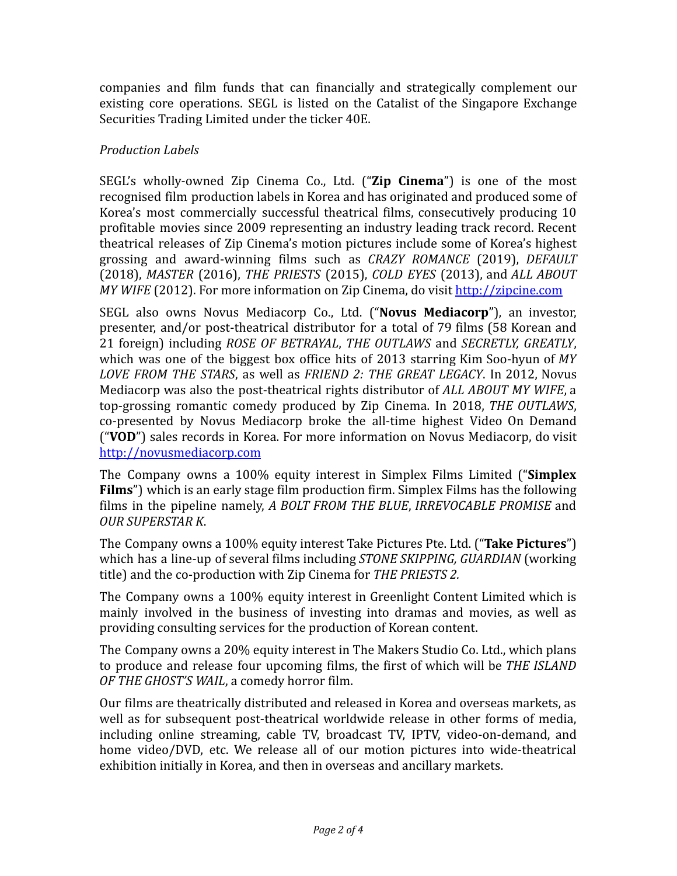companies and film funds that can financially and strategically complement our existing core operations. SEGL is listed on the Catalist of the Singapore Exchange Securities Trading Limited under the ticker 40E.

# *Production Labels*

SEGL's wholly-owned Zip Cinema Co., Ltd. ("**Zip Cinema**") is one of the most recognised film production labels in Korea and has originated and produced some of Korea's most commercially successful theatrical films, consecutively producing 10 profitable movies since 2009 representing an industry leading track record. Recent theatrical releases of Zip Cinema's motion pictures include some of Korea's highest grossing and award-winning films such as *CRAZY ROMANCE* (2019), *DEFAULT* (2018), *MASTER* (2016), *THE PRIESTS* (2015), *COLD EYES* (2013), and *ALL ABOUT MY WIFE* (2012). For more information on Zip Cinema, do visit <http://zipcine.com>

SEGL also owns Novus Mediacorp Co., Ltd. ("**Novus Mediacorp**"), an investor, presenter, and/or post-theatrical distributor for a total of 79 films (58 Korean and 21 foreign) including *ROSE OF BETRAYAL*, *THE OUTLAWS* and *SECRETLY, GREATLY*, which was one of the biggest box office hits of 2013 starring Kim Soo-hyun of *MY LOVE FROM THE STARS*, as well as *FRIEND 2: THE GREAT LEGACY*. In 2012, Novus Mediacorp was also the post-theatrical rights distributor of *ALL ABOUT MY WIFE*, a top-grossing romantic comedy produced by Zip Cinema. In 2018, *THE OUTLAWS*, co-presented by Novus Mediacorp broke the all-time highest Video On Demand ("**VOD**") sales records in Korea. For more information on Novus Mediacorp, do visit <http://novusmediacorp.com>

The Company owns a 100% equity interest in Simplex Films Limited ("**Simplex Films**") which is an early stage film production firm. Simplex Films has the following films in the pipeline namely, *A BOLT FROM THE BLUE*, *IRREVOCABLE PROMISE* and *OUR SUPERSTAR K*.

The Company owns a 100% equity interest Take Pictures Pte. Ltd. ("**Take Pictures**") which has a line-up of several films including *STONE SKIPPING, GUARDIAN* (working title) and the co-production with Zip Cinema for *THE PRIESTS 2.*

The Company owns a 100% equity interest in Greenlight Content Limited which is mainly involved in the business of investing into dramas and movies, as well as providing consulting services for the production of Korean content.

The Company owns a 20% equity interest in The Makers Studio Co. Ltd., which plans to produce and release four upcoming films, the first of which will be *THE ISLAND OF THE GHOST'S WAIL*, a comedy horror film.

Our films are theatrically distributed and released in Korea and overseas markets, as well as for subsequent post-theatrical worldwide release in other forms of media, including online streaming, cable TV, broadcast TV, IPTV, video-on-demand, and home video/DVD, etc. We release all of our motion pictures into wide-theatrical exhibition initially in Korea, and then in overseas and ancillary markets.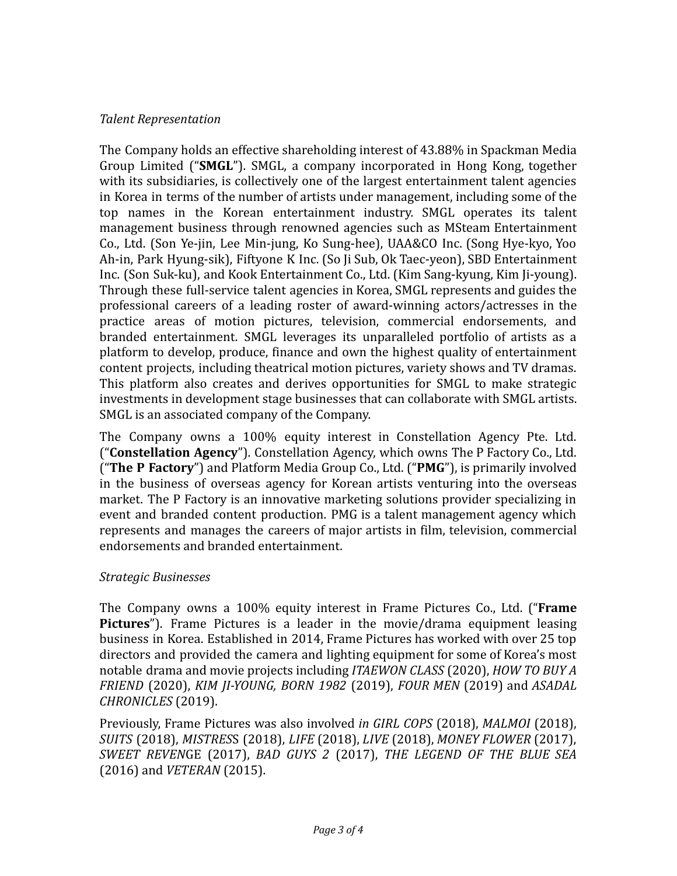## *Talent Representation*

The Company holds an effective shareholding interest of 43.88% in Spackman Media Group Limited ("**SMGL**"). SMGL, a company incorporated in Hong Kong, together with its subsidiaries, is collectively one of the largest entertainment talent agencies in Korea in terms of the number of artists under management, including some of the top names in the Korean entertainment industry. SMGL operates its talent management business through renowned agencies such as MSteam Entertainment Co., Ltd. (Son Ye-jin, Lee Min-jung, Ko Sung-hee), UAA&CO Inc. (Song Hye-kyo, Yoo Ah-in, Park Hyung-sik), Fiftyone K Inc. (So Ji Sub, Ok Taec-yeon), SBD Entertainment Inc. (Son Suk-ku), and Kook Entertainment Co., Ltd. (Kim Sang-kyung, Kim Ji-young). Through these full-service talent agencies in Korea, SMGL represents and guides the professional careers of a leading roster of award-winning actors/actresses in the practice areas of motion pictures, television, commercial endorsements, and branded entertainment. SMGL leverages its unparalleled portfolio of artists as a platform to develop, produce, finance and own the highest quality of entertainment content projects, including theatrical motion pictures, variety shows and TV dramas. This platform also creates and derives opportunities for SMGL to make strategic investments in development stage businesses that can collaborate with SMGL artists. SMGL is an associated company of the Company.

The Company owns a 100% equity interest in Constellation Agency Pte. Ltd. ("**Constellation Agency**"). Constellation Agency, which owns The P Factory Co., Ltd. ("**The P Factory**") and Platform Media Group Co., Ltd. ("**PMG**"), is primarily involved in the business of overseas agency for Korean artists venturing into the overseas market. The P Factory is an innovative marketing solutions provider specializing in event and branded content production. PMG is a talent management agency which represents and manages the careers of major artists in film, television, commercial endorsements and branded entertainment.

## *Strategic Businesses*

The Company owns a 100% equity interest in Frame Pictures Co., Ltd. ("**Frame Pictures**"). Frame Pictures is a leader in the movie/drama equipment leasing business in Korea. Established in 2014, Frame Pictures has worked with over 25 top directors and provided the camera and lighting equipment for some of Korea's most notable drama and movie projects including *ITAEWON CLASS* (2020), *HOW TO BUY A FRIEND* (2020), *KIM JI-YOUNG, BORN 1982* (2019), *FOUR MEN* (2019) and *ASADAL CHRONICLES* (2019).

Previously, Frame Pictures was also involved *in GIRL COPS* (2018), *MALMOI* (2018), *SUITS* (2018), *MISTRES*S (2018), *LIFE* (2018), *LIVE* (2018), *MONEY FLOWER* (2017), *SWEET REVEN*GE (2017), *BAD GUYS 2* (2017), *THE LEGEND OF THE BLUE SEA* (2016) and *VETERAN* (2015).